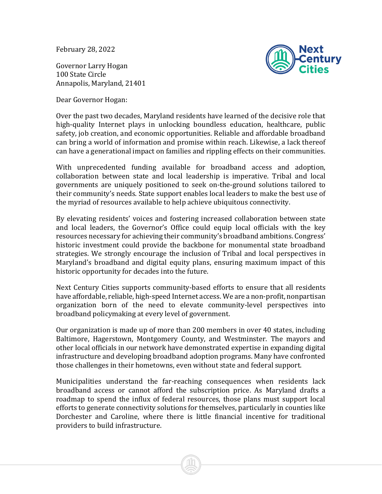February 28, 2022

Governor Larry Hogan 100 State Circle Annapolis, Maryland, 21401

Dear Governor Hogan:



Over the past two decades, Maryland residents have learned of the decisive role that high-quality Internet plays in unlocking boundless education, healthcare, public safety, job creation, and economic opportunities. Reliable and affordable broadband can bring a world of information and promise within reach. Likewise, a lack thereof can have a generational impact on families and rippling effects on their communities.

With unprecedented funding available for broadband access and adoption, collaboration between state and local leadership is imperative. Tribal and local governments are uniquely positioned to seek on-the-ground solutions tailored to their community's needs. State support enables local leaders to make the best use of the myriad of resources available to help achieve ubiquitous connectivity.

By elevating residents' voices and fostering increased collaboration between state and local leaders, the Governor's Office could equip local officials with the key resources necessary for achieving their community's broadband ambitions. Congress' historic investment could provide the backbone for monumental state broadband strategies. We strongly encourage the inclusion of Tribal and local perspectives in Maryland's broadband and digital equity plans, ensuring maximum impact of this historic opportunity for decades into the future.

Next Century Cities supports community-based efforts to ensure that all residents have affordable, reliable, high-speed Internet access. We are a non-profit, nonpartisan organization born of the need to elevate community-level perspectives into broadband policymaking at every level of government.

Our organization is made up of more than 200 members in over 40 states, including Baltimore, Hagerstown, Montgomery County, and Westminster. The mayors and other local officials in our network have demonstrated expertise in expanding digital infrastructure and developing broadband adoption programs. Many have confronted those challenges in their hometowns, even without state and federal support.

Municipalities understand the far-reaching consequences when residents lack broadband access or cannot afford the subscription price. As Maryland drafts a roadmap to spend the influx of federal resources, those plans must support local efforts to generate connectivity solutions for themselves, particularly in counties like Dorchester and Caroline, where there is little financial incentive for traditional providers to build infrastructure.